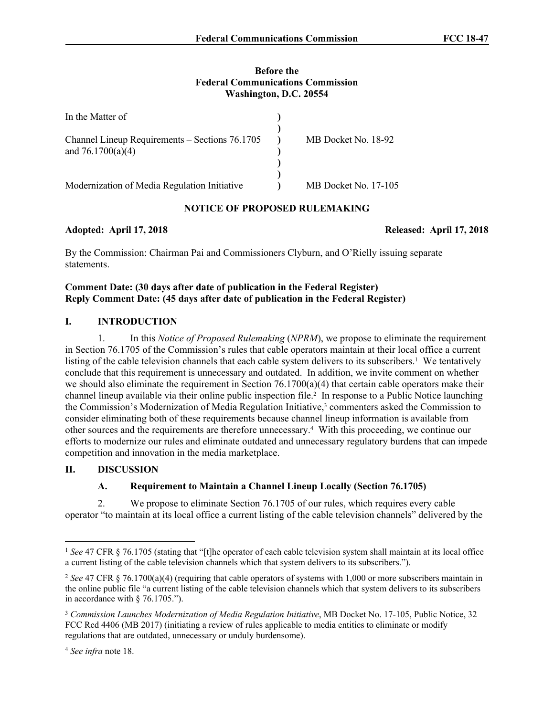## **Before the Federal Communications Commission Washington, D.C. 20554**

| In the Matter of                                                      |                      |
|-----------------------------------------------------------------------|----------------------|
| Channel Lineup Requirements – Sections 76.1705<br>and $76.1700(a)(4)$ | MB Docket No. 18-92  |
| Modernization of Media Regulation Initiative                          | MB Docket No. 17-105 |

## **NOTICE OF PROPOSED RULEMAKING**

**Adopted: April 17, 2018 Released: April 17, 2018**

By the Commission: Chairman Pai and Commissioners Clyburn, and O'Rielly issuing separate statements.

## **Comment Date: (30 days after date of publication in the Federal Register) Reply Comment Date: (45 days after date of publication in the Federal Register)**

# **I. INTRODUCTION**

1. In this *Notice of Proposed Rulemaking* (*NPRM*), we propose to eliminate the requirement in Section 76.1705 of the Commission's rules that cable operators maintain at their local office a current listing of the cable television channels that each cable system delivers to its subscribers.<sup>1</sup> We tentatively conclude that this requirement is unnecessary and outdated. In addition, we invite comment on whether we should also eliminate the requirement in Section  $76.1700(a)(4)$  that certain cable operators make their channel lineup available via their online public inspection file.<sup>2</sup> In response to a Public Notice launching the Commission's Modernization of Media Regulation Initiative,<sup>3</sup> commenters asked the Commission to consider eliminating both of these requirements because channel lineup information is available from other sources and the requirements are therefore unnecessary.<sup>4</sup> With this proceeding, we continue our efforts to modernize our rules and eliminate outdated and unnecessary regulatory burdens that can impede competition and innovation in the media marketplace.

## **II. DISCUSSION**

# **A. Requirement to Maintain a Channel Lineup Locally (Section 76.1705)**

2. We propose to eliminate Section 76.1705 of our rules, which requires every cable operator "to maintain at its local office a current listing of the cable television channels" delivered by the

<sup>1</sup> *See* 47 CFR § 76.1705 (stating that "[t]he operator of each cable television system shall maintain at its local office a current listing of the cable television channels which that system delivers to its subscribers.").

<sup>2</sup> *See* 47 CFR § 76.1700(a)(4) (requiring that cable operators of systems with 1,000 or more subscribers maintain in the online public file "a current listing of the cable television channels which that system delivers to its subscribers in accordance with § 76.1705.").

<sup>3</sup> *Commission Launches Modernization of Media Regulation Initiative*, MB Docket No. 17-105, Public Notice, 32 FCC Rcd 4406 (MB 2017) (initiating a review of rules applicable to media entities to eliminate or modify regulations that are outdated, unnecessary or unduly burdensome).

<sup>4</sup> *See infra* note 18.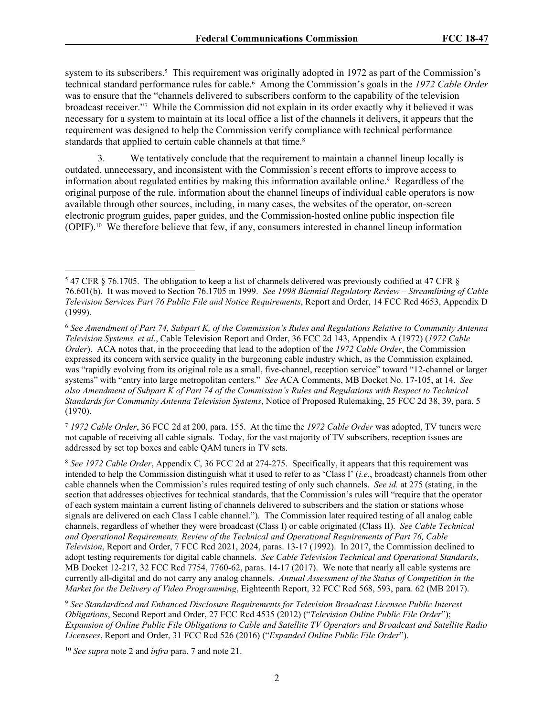system to its subscribers.<sup>5</sup> This requirement was originally adopted in 1972 as part of the Commission's technical standard performance rules for cable.<sup>6</sup> Among the Commission's goals in the *1972 Cable Order* was to ensure that the "channels delivered to subscribers conform to the capability of the television broadcast receiver."<sup>7</sup> While the Commission did not explain in its order exactly why it believed it was necessary for a system to maintain at its local office a list of the channels it delivers, it appears that the requirement was designed to help the Commission verify compliance with technical performance standards that applied to certain cable channels at that time.<sup>8</sup>

3. We tentatively conclude that the requirement to maintain a channel lineup locally is outdated, unnecessary, and inconsistent with the Commission's recent efforts to improve access to information about regulated entities by making this information available online.<sup>9</sup> Regardless of the original purpose of the rule, information about the channel lineups of individual cable operators is now available through other sources, including, in many cases, the websites of the operator, on-screen electronic program guides, paper guides, and the Commission-hosted online public inspection file (OPIF).10 We therefore believe that few, if any, consumers interested in channel lineup information

<sup>7</sup> *1972 Cable Order*, 36 FCC 2d at 200, para. 155. At the time the *1972 Cable Order* was adopted, TV tuners were not capable of receiving all cable signals. Today, for the vast majority of TV subscribers, reception issues are addressed by set top boxes and cable QAM tuners in TV sets.

<sup>8</sup> *See 1972 Cable Order*, Appendix C, 36 FCC 2d at 274-275. Specifically, it appears that this requirement was intended to help the Commission distinguish what it used to refer to as 'Class I' (*i.e*., broadcast) channels from other cable channels when the Commission's rules required testing of only such channels. *See id.* at 275 (stating, in the section that addresses objectives for technical standards, that the Commission's rules will "require that the operator of each system maintain a current listing of channels delivered to subscribers and the station or stations whose signals are delivered on each Class I cable channel."). The Commission later required testing of all analog cable channels, regardless of whether they were broadcast (Class I) or cable originated (Class II). *See Cable Technical and Operational Requirements, Review of the Technical and Operational Requirements of Part 76, Cable Television*, Report and Order, 7 FCC Rcd 2021, 2024, paras. 13-17 (1992). In 2017, the Commission declined to adopt testing requirements for digital cable channels. *See Cable Television Technical and Operational Standards*, MB Docket 12-217, 32 FCC Rcd 7754, 7760-62, paras. 14-17 (2017). We note that nearly all cable systems are currently all-digital and do not carry any analog channels. *Annual Assessment of the Status of Competition in the Market for the Delivery of Video Programming*, Eighteenth Report, 32 FCC Rcd 568, 593, para. 62 (MB 2017).

9  *See Standardized and Enhanced Disclosure Requirements for Television Broadcast Licensee Public Interest Obligations*, Second Report and Order, 27 FCC Rcd 4535 (2012) ("*Television Online Public File Order*"); *Expansion of Online Public File Obligations to Cable and Satellite TV Operators and Broadcast and Satellite Radio Licensees*, Report and Order, 31 FCC Rcd 526 (2016) ("*Expanded Online Public File Order*").

<sup>10</sup> *See supra* note 2 and *infra* para. 7 and note 21.

<sup>5</sup> 47 CFR § 76.1705. The obligation to keep a list of channels delivered was previously codified at 47 CFR § 76.601(b). It was moved to Section 76.1705 in 1999. *See 1998 Biennial Regulatory Review – Streamlining of Cable Television Services Part 76 Public File and Notice Requirements*, Report and Order, 14 FCC Rcd 4653, Appendix D (1999).

<sup>6</sup> *See Amendment of Part 74, Subpart K, of the Commission's Rules and Regulations Relative to Community Antenna Television Systems, et al*., Cable Television Report and Order, 36 FCC 2d 143, Appendix A (1972) (*1972 Cable Order*). ACA notes that, in the proceeding that lead to the adoption of the *1972 Cable Order*, the Commission expressed its concern with service quality in the burgeoning cable industry which, as the Commission explained, was "rapidly evolving from its original role as a small, five-channel, reception service" toward "12-channel or larger systems" with "entry into large metropolitan centers." *See* ACA Comments, MB Docket No. 17-105, at 14. *See also Amendment of Subpart K of Part 74 of the Commission's Rules and Regulations with Respect to Technical Standards for Community Antenna Television Systems*, Notice of Proposed Rulemaking, 25 FCC 2d 38, 39, para. 5 (1970).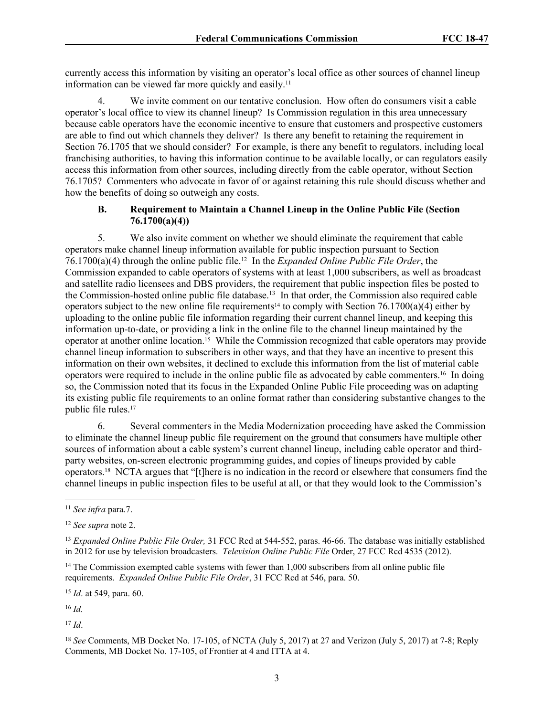currently access this information by visiting an operator's local office as other sources of channel lineup information can be viewed far more quickly and easily.<sup>11</sup>

4. We invite comment on our tentative conclusion. How often do consumers visit a cable operator's local office to view its channel lineup? Is Commission regulation in this area unnecessary because cable operators have the economic incentive to ensure that customers and prospective customers are able to find out which channels they deliver? Is there any benefit to retaining the requirement in Section 76.1705 that we should consider? For example, is there any benefit to regulators, including local franchising authorities, to having this information continue to be available locally, or can regulators easily access this information from other sources, including directly from the cable operator, without Section 76.1705? Commenters who advocate in favor of or against retaining this rule should discuss whether and how the benefits of doing so outweigh any costs.

## **B. Requirement to Maintain a Channel Lineup in the Online Public File (Section 76.1700(a)(4))**

5. We also invite comment on whether we should eliminate the requirement that cable operators make channel lineup information available for public inspection pursuant to Section 76.1700(a)(4) through the online public file.12 In the *Expanded Online Public File Order*, the Commission expanded to cable operators of systems with at least 1,000 subscribers, as well as broadcast and satellite radio licensees and DBS providers, the requirement that public inspection files be posted to the Commission-hosted online public file database.<sup>13</sup> In that order, the Commission also required cable operators subject to the new online file requirements<sup>14</sup> to comply with Section 76.1700(a)(4) either by uploading to the online public file information regarding their current channel lineup, and keeping this information up-to-date, or providing a link in the online file to the channel lineup maintained by the operator at another online location.15 While the Commission recognized that cable operators may provide channel lineup information to subscribers in other ways, and that they have an incentive to present this information on their own websites, it declined to exclude this information from the list of material cable operators were required to include in the online public file as advocated by cable commenters.16 In doing so, the Commission noted that its focus in the Expanded Online Public File proceeding was on adapting its existing public file requirements to an online format rather than considering substantive changes to the public file rules.<sup>17</sup>

6. Several commenters in the Media Modernization proceeding have asked the Commission to eliminate the channel lineup public file requirement on the ground that consumers have multiple other sources of information about a cable system's current channel lineup, including cable operator and thirdparty websites, on-screen electronic programming guides, and copies of lineups provided by cable operators.18 NCTA argues that "[t]here is no indication in the record or elsewhere that consumers find the channel lineups in public inspection files to be useful at all, or that they would look to the Commission's

<sup>15</sup> *Id*. at 549, para. 60.

<sup>16</sup> *Id.*

<sup>17</sup> *Id*.

<sup>11</sup> *See infra* para.7.

<sup>12</sup> *See supra* note 2.

<sup>13</sup> *Expanded Online Public File Order,* 31 FCC Rcd at 544-552, paras. 46-66. The database was initially established in 2012 for use by television broadcasters. *Television Online Public File* Order, 27 FCC Rcd 4535 (2012).

<sup>&</sup>lt;sup>14</sup> The Commission exempted cable systems with fewer than 1,000 subscribers from all online public file requirements. *Expanded Online Public File Order*, 31 FCC Rcd at 546, para. 50.

<sup>18</sup> *See* Comments, MB Docket No. 17-105, of NCTA (July 5, 2017) at 27 and Verizon (July 5, 2017) at 7-8; Reply Comments, MB Docket No. 17-105, of Frontier at 4 and ITTA at 4.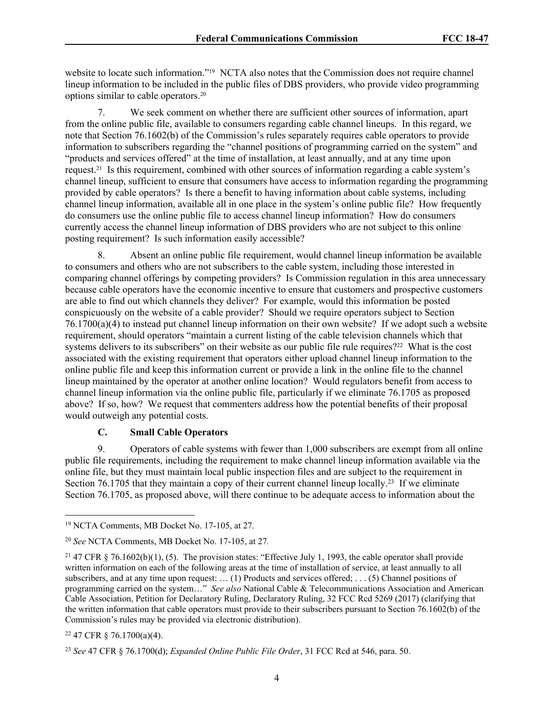website to locate such information."<sup>19</sup> NCTA also notes that the Commission does not require channel lineup information to be included in the public files of DBS providers, who provide video programming options similar to cable operators.<sup>20</sup>

7. We seek comment on whether there are sufficient other sources of information, apart from the online public file, available to consumers regarding cable channel lineups. In this regard, we note that Section 76.1602(b) of the Commission's rules separately requires cable operators to provide information to subscribers regarding the "channel positions of programming carried on the system" and "products and services offered" at the time of installation, at least annually, and at any time upon request.21 Is this requirement, combined with other sources of information regarding a cable system's channel lineup, sufficient to ensure that consumers have access to information regarding the programming provided by cable operators? Is there a benefit to having information about cable systems, including channel lineup information, available all in one place in the system's online public file? How frequently do consumers use the online public file to access channel lineup information? How do consumers currently access the channel lineup information of DBS providers who are not subject to this online posting requirement? Is such information easily accessible?

8. Absent an online public file requirement, would channel lineup information be available to consumers and others who are not subscribers to the cable system, including those interested in comparing channel offerings by competing providers? Is Commission regulation in this area unnecessary because cable operators have the economic incentive to ensure that customers and prospective customers are able to find out which channels they deliver? For example, would this information be posted conspicuously on the website of a cable provider? Should we require operators subject to Section 76.1700(a)(4) to instead put channel lineup information on their own website? If we adopt such a website requirement, should operators "maintain a current listing of the cable television channels which that systems delivers to its subscribers" on their website as our public file rule requires?<sup>22</sup> What is the cost associated with the existing requirement that operators either upload channel lineup information to the online public file and keep this information current or provide a link in the online file to the channel lineup maintained by the operator at another online location? Would regulators benefit from access to channel lineup information via the online public file, particularly if we eliminate 76.1705 as proposed above? If so, how? We request that commenters address how the potential benefits of their proposal would outweigh any potential costs.

## **C. Small Cable Operators**

9. Operators of cable systems with fewer than 1,000 subscribers are exempt from all online public file requirements, including the requirement to make channel lineup information available via the online file, but they must maintain local public inspection files and are subject to the requirement in Section 76.1705 that they maintain a copy of their current channel lineup locally.<sup>23</sup> If we eliminate Section 76.1705, as proposed above, will there continue to be adequate access to information about the

<sup>19</sup> NCTA Comments, MB Docket No. 17-105, at 27.

<sup>20</sup> *See* NCTA Comments, MB Docket No. 17-105, at 27*.* 

<sup>&</sup>lt;sup>21</sup> 47 CFR § 76.1602(b)(1), (5). The provision states: "Effective July 1, 1993, the cable operator shall provide written information on each of the following areas at the time of installation of service, at least annually to all subscribers, and at any time upon request: … (1) Products and services offered; . . . (5) Channel positions of programming carried on the system…" *See also* National Cable & Telecommunications Association and American Cable Association, Petition for Declaratory Ruling, Declaratory Ruling, 32 FCC Rcd 5269 (2017) (clarifying that the written information that cable operators must provide to their subscribers pursuant to Section 76.1602(b) of the Commission's rules may be provided via electronic distribution).

<sup>22</sup> 47 CFR § 76.1700(a)(4).

<sup>23</sup> *See* 47 CFR § 76.1700(d); *Expanded Online Public File Order*, 31 FCC Rcd at 546, para. 50.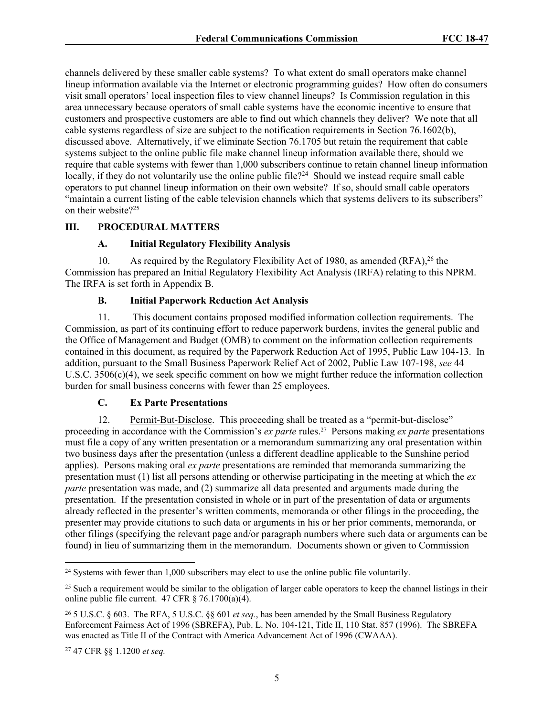channels delivered by these smaller cable systems? To what extent do small operators make channel lineup information available via the Internet or electronic programming guides? How often do consumers visit small operators' local inspection files to view channel lineups? Is Commission regulation in this area unnecessary because operators of small cable systems have the economic incentive to ensure that customers and prospective customers are able to find out which channels they deliver? We note that all cable systems regardless of size are subject to the notification requirements in Section 76.1602(b), discussed above. Alternatively, if we eliminate Section 76.1705 but retain the requirement that cable systems subject to the online public file make channel lineup information available there, should we require that cable systems with fewer than 1,000 subscribers continue to retain channel lineup information locally, if they do not voluntarily use the online public file?<sup>24</sup> Should we instead require small cable operators to put channel lineup information on their own website? If so, should small cable operators "maintain a current listing of the cable television channels which that systems delivers to its subscribers" on their website?<sup>25</sup>

## **III. PROCEDURAL MATTERS**

# **A. Initial Regulatory Flexibility Analysis**

10. As required by the Regulatory Flexibility Act of 1980, as amended (RFA),<sup>26</sup> the Commission has prepared an Initial Regulatory Flexibility Act Analysis (IRFA) relating to this NPRM. The IRFA is set forth in Appendix B.

## **B. Initial Paperwork Reduction Act Analysis**

11. This document contains proposed modified information collection requirements. The Commission, as part of its continuing effort to reduce paperwork burdens, invites the general public and the Office of Management and Budget (OMB) to comment on the information collection requirements contained in this document, as required by the Paperwork Reduction Act of 1995, Public Law 104-13. In addition, pursuant to the Small Business Paperwork Relief Act of 2002, Public Law 107-198, *see* 44 U.S.C. 3506(c)(4), we seek specific comment on how we might further reduce the information collection burden for small business concerns with fewer than 25 employees.

## **C. Ex Parte Presentations**

12. Permit-But-Disclose. This proceeding shall be treated as a "permit-but-disclose" proceeding in accordance with the Commission's *ex parte* rules.27 Persons making *ex parte* presentations must file a copy of any written presentation or a memorandum summarizing any oral presentation within two business days after the presentation (unless a different deadline applicable to the Sunshine period applies). Persons making oral *ex parte* presentations are reminded that memoranda summarizing the presentation must (1) list all persons attending or otherwise participating in the meeting at which the *ex parte* presentation was made, and (2) summarize all data presented and arguments made during the presentation. If the presentation consisted in whole or in part of the presentation of data or arguments already reflected in the presenter's written comments, memoranda or other filings in the proceeding, the presenter may provide citations to such data or arguments in his or her prior comments, memoranda, or other filings (specifying the relevant page and/or paragraph numbers where such data or arguments can be found) in lieu of summarizing them in the memorandum. Documents shown or given to Commission

<sup>&</sup>lt;sup>24</sup> Systems with fewer than 1,000 subscribers may elect to use the online public file voluntarily.

 $25$  Such a requirement would be similar to the obligation of larger cable operators to keep the channel listings in their online public file current.  $47 \text{ CFR} \text{ } \text{\&} 76.1700(a)(4)$ .

<sup>26</sup> 5 U.S.C. § 603. The RFA, 5 U.S.C. §§ 601 *et seq.*, has been amended by the Small Business Regulatory Enforcement Fairness Act of 1996 (SBREFA), Pub. L. No. 104-121, Title II, 110 Stat. 857 (1996). The SBREFA was enacted as Title II of the Contract with America Advancement Act of 1996 (CWAAA).

<sup>27</sup> 47 CFR §§ 1.1200 *et seq.*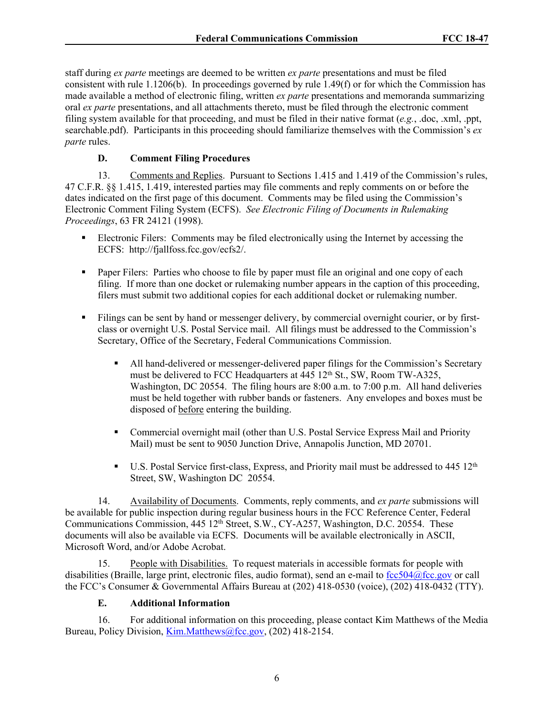staff during *ex parte* meetings are deemed to be written *ex parte* presentations and must be filed consistent with rule 1.1206(b). In proceedings governed by rule 1.49(f) or for which the Commission has made available a method of electronic filing, written *ex parte* presentations and memoranda summarizing oral *ex parte* presentations, and all attachments thereto, must be filed through the electronic comment filing system available for that proceeding, and must be filed in their native format (*e.g.*, .doc, .xml, .ppt, searchable.pdf). Participants in this proceeding should familiarize themselves with the Commission's *ex parte* rules.

# **D. Comment Filing Procedures**

13. Comments and Replies. Pursuant to Sections 1.415 and 1.419 of the Commission's rules, 47 C.F.R. §§ 1.415, 1.419, interested parties may file comments and reply comments on or before the dates indicated on the first page of this document. Comments may be filed using the Commission's Electronic Comment Filing System (ECFS). *See Electronic Filing of Documents in Rulemaking Proceedings*, 63 FR 24121 (1998).

- Electronic Filers: Comments may be filed electronically using the Internet by accessing the ECFS: http://fjallfoss.fcc.gov/ecfs2/.
- Paper Filers: Parties who choose to file by paper must file an original and one copy of each filing. If more than one docket or rulemaking number appears in the caption of this proceeding, filers must submit two additional copies for each additional docket or rulemaking number.
- Filings can be sent by hand or messenger delivery, by commercial overnight courier, or by firstclass or overnight U.S. Postal Service mail. All filings must be addressed to the Commission's Secretary, Office of the Secretary, Federal Communications Commission.
	- All hand-delivered or messenger-delivered paper filings for the Commission's Secretary must be delivered to FCC Headquarters at 445 12<sup>th</sup> St., SW, Room TW-A325, Washington, DC 20554. The filing hours are 8:00 a.m. to 7:00 p.m. All hand deliveries must be held together with rubber bands or fasteners. Any envelopes and boxes must be disposed of before entering the building.
	- Commercial overnight mail (other than U.S. Postal Service Express Mail and Priority Mail) must be sent to 9050 Junction Drive, Annapolis Junction, MD 20701.
	- U.S. Postal Service first-class, Express, and Priority mail must be addressed to 445 12<sup>th</sup> Street, SW, Washington DC 20554.

14. Availability of Documents. Comments, reply comments, and *ex parte* submissions will be available for public inspection during regular business hours in the FCC Reference Center, Federal Communications Commission, 445 12<sup>th</sup> Street, S.W., CY-A257, Washington, D.C. 20554. These documents will also be available via ECFS. Documents will be available electronically in ASCII, Microsoft Word, and/or Adobe Acrobat.

15. People with Disabilities. To request materials in accessible formats for people with disabilities (Braille, large print, electronic files, audio format), send an e-mail to [fcc504@fcc.gov](mailto:fcc504@fcc.gov) or call the FCC's Consumer & Governmental Affairs Bureau at (202) 418-0530 (voice), (202) 418-0432 (TTY).

# **E. Additional Information**

16. For additional information on this proceeding, please contact Kim Matthews of the Media Bureau, Policy Division, [Kim.Matthews@fcc.gov](mailto:Kim.Matthews@fcc.gov), (202) 418-2154.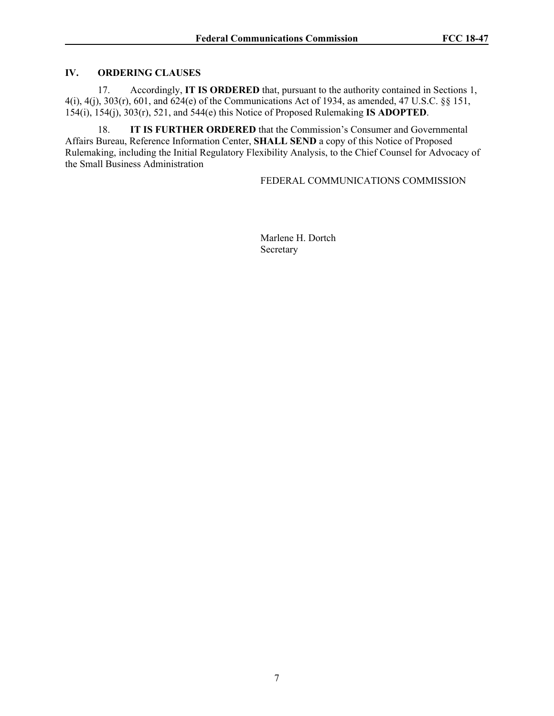## **IV. ORDERING CLAUSES**

17. Accordingly, **IT IS ORDERED** that, pursuant to the authority contained in Sections 1, 4(i), 4(j), 303(r), 601, and 624(e) of the Communications Act of 1934, as amended, 47 U.S.C. §§ 151, 154(i), 154(j), 303(r), 521, and 544(e) this Notice of Proposed Rulemaking **IS ADOPTED**.

18. **IT IS FURTHER ORDERED** that the Commission's Consumer and Governmental Affairs Bureau, Reference Information Center, **SHALL SEND** a copy of this Notice of Proposed Rulemaking, including the Initial Regulatory Flexibility Analysis, to the Chief Counsel for Advocacy of the Small Business Administration

FEDERAL COMMUNICATIONS COMMISSION

Marlene H. Dortch Secretary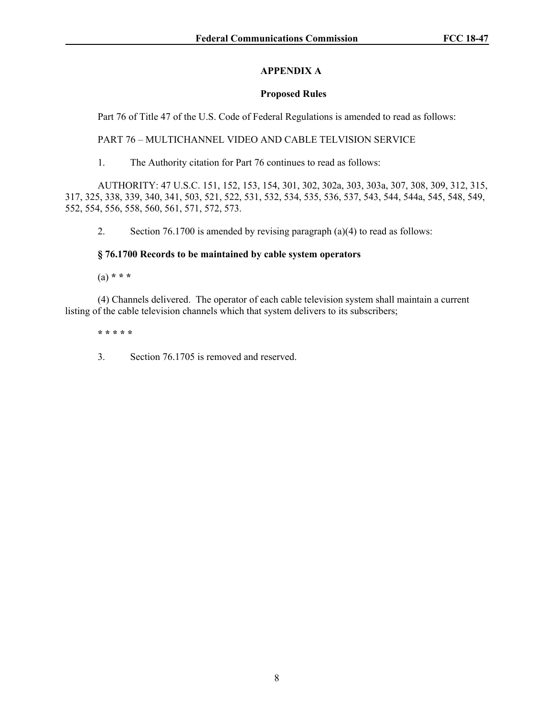## **APPENDIX A**

## **Proposed Rules**

Part 76 of Title 47 of the U.S. Code of Federal Regulations is amended to read as follows:

PART 76 – MULTICHANNEL VIDEO AND CABLE TELVISION SERVICE

1. The Authority citation for Part 76 continues to read as follows:

AUTHORITY: 47 U.S.C. 151, 152, 153, 154, 301, 302, 302a, 303, 303a, 307, 308, 309, 312, 315, 317, 325, 338, 339, 340, 341, 503, 521, 522, 531, 532, 534, 535, 536, 537, 543, 544, 544a, 545, 548, 549, 552, 554, 556, 558, 560, 561, 571, 572, 573.

2. Section 76.1700 is amended by revising paragraph (a)(4) to read as follows:

## **§ 76.1700 Records to be maintained by cable system operators**

(a) **\* \* \***

(4) Channels delivered. The operator of each cable television system shall maintain a current listing of the cable television channels which that system delivers to its subscribers;

**\* \* \* \* \***

3. Section 76.1705 is removed and reserved.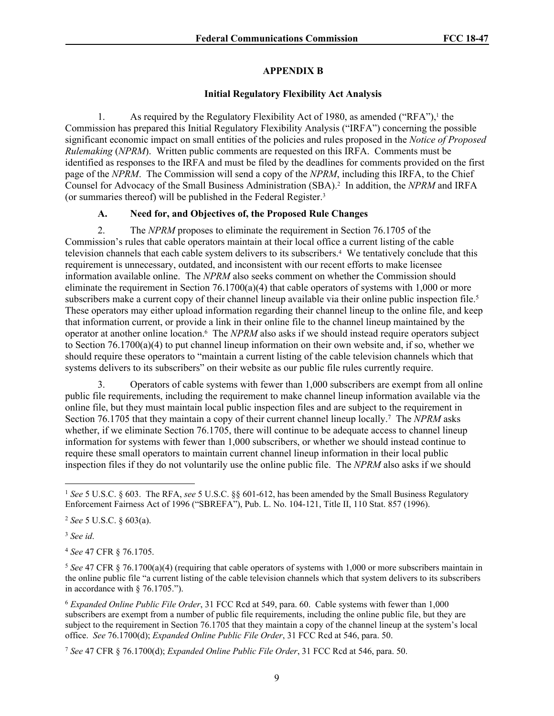#### **APPENDIX B**

#### **Initial Regulatory Flexibility Act Analysis**

1. As required by the Regulatory Flexibility Act of 1980, as amended ("RFA"),<sup>1</sup> the Commission has prepared this Initial Regulatory Flexibility Analysis ("IRFA") concerning the possible significant economic impact on small entities of the policies and rules proposed in the *Notice of Proposed Rulemaking* (*NPRM*). Written public comments are requested on this IRFA. Comments must be identified as responses to the IRFA and must be filed by the deadlines for comments provided on the first page of the *NPRM*. The Commission will send a copy of the *NPRM*, including this IRFA, to the Chief Counsel for Advocacy of the Small Business Administration (SBA).<sup>2</sup> In addition, the *NPRM* and IRFA (or summaries thereof) will be published in the Federal Register.<sup>3</sup>

## **A. Need for, and Objectives of, the Proposed Rule Changes**

2. The *NPRM* proposes to eliminate the requirement in Section 76.1705 of the Commission's rules that cable operators maintain at their local office a current listing of the cable television channels that each cable system delivers to its subscribers.<sup>4</sup> We tentatively conclude that this requirement is unnecessary, outdated, and inconsistent with our recent efforts to make licensee information available online. The *NPRM* also seeks comment on whether the Commission should eliminate the requirement in Section 76.1700(a)(4) that cable operators of systems with 1,000 or more subscribers make a current copy of their channel lineup available via their online public inspection file.<sup>5</sup> These operators may either upload information regarding their channel lineup to the online file, and keep that information current, or provide a link in their online file to the channel lineup maintained by the operator at another online location.<sup>6</sup> The *NPRM* also asks if we should instead require operators subject to Section  $76.1700(a)(4)$  to put channel lineup information on their own website and, if so, whether we should require these operators to "maintain a current listing of the cable television channels which that systems delivers to its subscribers" on their website as our public file rules currently require.

3. Operators of cable systems with fewer than 1,000 subscribers are exempt from all online public file requirements, including the requirement to make channel lineup information available via the online file, but they must maintain local public inspection files and are subject to the requirement in Section 76.1705 that they maintain a copy of their current channel lineup locally.<sup>7</sup> The *NPRM* asks whether, if we eliminate Section 76.1705, there will continue to be adequate access to channel lineup information for systems with fewer than 1,000 subscribers, or whether we should instead continue to require these small operators to maintain current channel lineup information in their local public inspection files if they do not voluntarily use the online public file. The *NPRM* also asks if we should

<sup>4</sup> *See* 47 CFR § 76.1705.

<sup>1</sup> *See* 5 U.S.C. § 603. The RFA, *see* 5 U.S.C. §§ 601-612, has been amended by the Small Business Regulatory Enforcement Fairness Act of 1996 ("SBREFA"), Pub. L. No. 104-121, Title II, 110 Stat. 857 (1996).

<sup>2</sup> *See* 5 U.S.C. § 603(a).

<sup>3</sup> *See id*.

<sup>5</sup> *See* 47 CFR § 76.1700(a)(4) (requiring that cable operators of systems with 1,000 or more subscribers maintain in the online public file "a current listing of the cable television channels which that system delivers to its subscribers in accordance with § 76.1705.").

<sup>6</sup> *Expanded Online Public File Order*, 31 FCC Rcd at 549, para. 60. Cable systems with fewer than 1,000 subscribers are exempt from a number of public file requirements, including the online public file, but they are subject to the requirement in Section 76.1705 that they maintain a copy of the channel lineup at the system's local office. *See* 76.1700(d); *Expanded Online Public File Order*, 31 FCC Rcd at 546, para. 50.

<sup>7</sup> *See* 47 CFR § 76.1700(d); *Expanded Online Public File Order*, 31 FCC Rcd at 546, para. 50.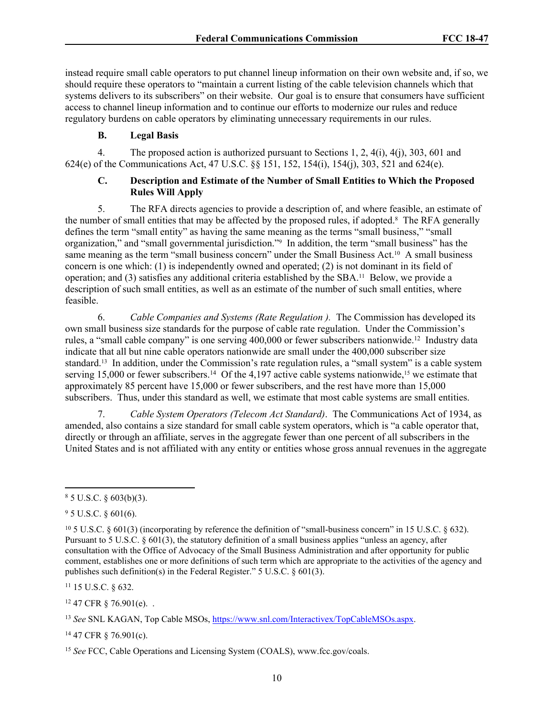instead require small cable operators to put channel lineup information on their own website and, if so, we should require these operators to "maintain a current listing of the cable television channels which that systems delivers to its subscribers" on their website. Our goal is to ensure that consumers have sufficient access to channel lineup information and to continue our efforts to modernize our rules and reduce regulatory burdens on cable operators by eliminating unnecessary requirements in our rules.

## **B. Legal Basis**

4. The proposed action is authorized pursuant to Sections 1, 2, 4(i), 4(j), 303, 601 and 624(e) of the Communications Act, 47 U.S.C. §§ 151, 152, 154(i), 154(j), 303, 521 and 624(e).

## **C. Description and Estimate of the Number of Small Entities to Which the Proposed Rules Will Apply**

5. The RFA directs agencies to provide a description of, and where feasible, an estimate of the number of small entities that may be affected by the proposed rules, if adopted.<sup>8</sup> The RFA generally defines the term "small entity" as having the same meaning as the terms "small business," "small organization," and "small governmental jurisdiction."<sup>9</sup> In addition, the term "small business" has the same meaning as the term "small business concern" under the Small Business Act.<sup>10</sup> A small business concern is one which: (1) is independently owned and operated; (2) is not dominant in its field of operation; and (3) satisfies any additional criteria established by the SBA.11 Below, we provide a description of such small entities, as well as an estimate of the number of such small entities, where feasible.

6. *Cable Companies and Systems (Rate Regulation ).* The Commission has developed its own small business size standards for the purpose of cable rate regulation. Under the Commission's rules, a "small cable company" is one serving 400,000 or fewer subscribers nationwide.<sup>12</sup> Industry data indicate that all but nine cable operators nationwide are small under the 400,000 subscriber size standard.13 In addition, under the Commission's rate regulation rules, a "small system" is a cable system serving 15,000 or fewer subscribers.<sup>14</sup> Of the 4,197 active cable systems nationwide,<sup>15</sup> we estimate that approximately 85 percent have 15,000 or fewer subscribers, and the rest have more than 15,000 subscribers. Thus, under this standard as well, we estimate that most cable systems are small entities.

7. *Cable System Operators (Telecom Act Standard)*.The Communications Act of 1934, as amended, also contains a size standard for small cable system operators, which is "a cable operator that, directly or through an affiliate, serves in the aggregate fewer than one percent of all subscribers in the United States and is not affiliated with any entity or entities whose gross annual revenues in the aggregate

<sup>11</sup> 15 U.S.C. § 632.

 $12$  47 CFR  $\frac{876.901(e)}{e}$ .

<sup>14</sup> 47 CFR § 76.901(c).

 $85$  U.S.C. § 603(b)(3).

 $9^{\circ}$  5 U.S.C. § 601(6).

<sup>10</sup> 5 U.S.C. § 601(3) (incorporating by reference the definition of "small-business concern" in 15 U.S.C. § 632). Pursuant to 5 U.S.C. § 601(3), the statutory definition of a small business applies "unless an agency, after consultation with the Office of Advocacy of the Small Business Administration and after opportunity for public comment, establishes one or more definitions of such term which are appropriate to the activities of the agency and publishes such definition(s) in the Federal Register." 5 U.S.C. § 601(3).

<sup>13</sup> *See* SNL KAGAN, Top Cable MSOs, <https://www.snl.com/Interactivex/TopCableMSOs.aspx>.

<sup>15</sup> *See* FCC, Cable Operations and Licensing System (COALS), www.fcc.gov/coals.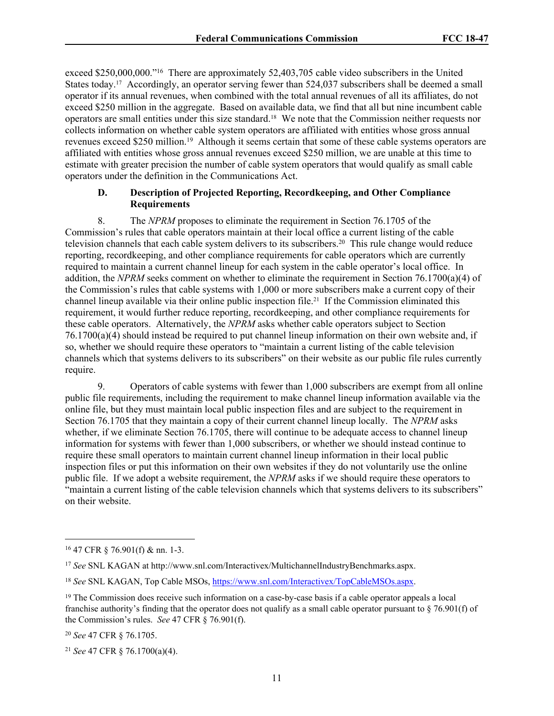exceed \$250,000,000."<sup>16</sup> There are approximately 52,403,705 cable video subscribers in the United States today.17 Accordingly, an operator serving fewer than 524,037 subscribers shall be deemed a small operator if its annual revenues, when combined with the total annual revenues of all its affiliates, do not exceed \$250 million in the aggregate. Based on available data, we find that all but nine incumbent cable operators are small entities under this size standard.18 We note that the Commission neither requests nor collects information on whether cable system operators are affiliated with entities whose gross annual revenues exceed \$250 million.<sup>19</sup> Although it seems certain that some of these cable systems operators are affiliated with entities whose gross annual revenues exceed \$250 million, we are unable at this time to estimate with greater precision the number of cable system operators that would qualify as small cable operators under the definition in the Communications Act.

## **D. Description of Projected Reporting, Recordkeeping, and Other Compliance Requirements**

8. The *NPRM* proposes to eliminate the requirement in Section 76.1705 of the Commission's rules that cable operators maintain at their local office a current listing of the cable television channels that each cable system delivers to its subscribers.<sup>20</sup> This rule change would reduce reporting, recordkeeping, and other compliance requirements for cable operators which are currently required to maintain a current channel lineup for each system in the cable operator's local office. In addition, the *NPRM* seeks comment on whether to eliminate the requirement in Section 76.1700(a)(4) of the Commission's rules that cable systems with 1,000 or more subscribers make a current copy of their channel lineup available via their online public inspection file.21 If the Commission eliminated this requirement, it would further reduce reporting, recordkeeping, and other compliance requirements for these cable operators. Alternatively, the *NPRM* asks whether cable operators subject to Section 76.1700(a)(4) should instead be required to put channel lineup information on their own website and, if so, whether we should require these operators to "maintain a current listing of the cable television channels which that systems delivers to its subscribers" on their website as our public file rules currently require.

9. Operators of cable systems with fewer than 1,000 subscribers are exempt from all online public file requirements, including the requirement to make channel lineup information available via the online file, but they must maintain local public inspection files and are subject to the requirement in Section 76.1705 that they maintain a copy of their current channel lineup locally. The *NPRM* asks whether, if we eliminate Section 76.1705, there will continue to be adequate access to channel lineup information for systems with fewer than 1,000 subscribers, or whether we should instead continue to require these small operators to maintain current channel lineup information in their local public inspection files or put this information on their own websites if they do not voluntarily use the online public file. If we adopt a website requirement, the *NPRM* asks if we should require these operators to "maintain a current listing of the cable television channels which that systems delivers to its subscribers" on their website.

<sup>16</sup> 47 CFR § 76.901(f) & nn. 1-3.

<sup>17</sup> *See* SNL KAGAN at http://www.snl.com/Interactivex/MultichannelIndustryBenchmarks.aspx.

<sup>18</sup> *See* SNL KAGAN, Top Cable MSOs, <https://www.snl.com/Interactivex/TopCableMSOs.aspx>.

<sup>&</sup>lt;sup>19</sup> The Commission does receive such information on a case-by-case basis if a cable operator appeals a local franchise authority's finding that the operator does not qualify as a small cable operator pursuant to § 76.901(f) of the Commission's rules. *See* 47 CFR § 76.901(f).

<sup>20</sup> *See* 47 CFR § 76.1705.

<sup>21</sup> *See* 47 CFR § 76.1700(a)(4).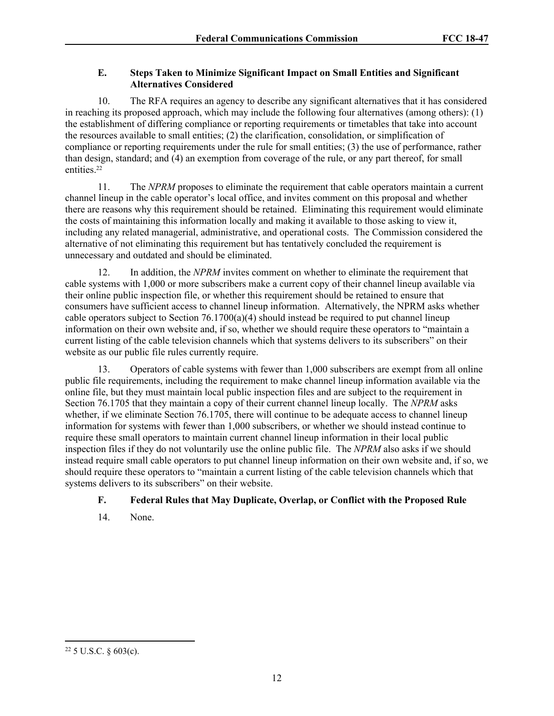# **E. Steps Taken to Minimize Significant Impact on Small Entities and Significant Alternatives Considered**

10. The RFA requires an agency to describe any significant alternatives that it has considered in reaching its proposed approach, which may include the following four alternatives (among others): (1) the establishment of differing compliance or reporting requirements or timetables that take into account the resources available to small entities; (2) the clarification, consolidation, or simplification of compliance or reporting requirements under the rule for small entities; (3) the use of performance, rather than design, standard; and (4) an exemption from coverage of the rule, or any part thereof, for small entities.<sup>22</sup>

11. The *NPRM* proposes to eliminate the requirement that cable operators maintain a current channel lineup in the cable operator's local office, and invites comment on this proposal and whether there are reasons why this requirement should be retained. Eliminating this requirement would eliminate the costs of maintaining this information locally and making it available to those asking to view it, including any related managerial, administrative, and operational costs. The Commission considered the alternative of not eliminating this requirement but has tentatively concluded the requirement is unnecessary and outdated and should be eliminated.

12. In addition, the *NPRM* invites comment on whether to eliminate the requirement that cable systems with 1,000 or more subscribers make a current copy of their channel lineup available via their online public inspection file, or whether this requirement should be retained to ensure that consumers have sufficient access to channel lineup information. Alternatively, the NPRM asks whether cable operators subject to Section  $76.1700(a)(4)$  should instead be required to put channel lineup information on their own website and, if so, whether we should require these operators to "maintain a current listing of the cable television channels which that systems delivers to its subscribers" on their website as our public file rules currently require.

13. Operators of cable systems with fewer than 1,000 subscribers are exempt from all online public file requirements, including the requirement to make channel lineup information available via the online file, but they must maintain local public inspection files and are subject to the requirement in Section 76.1705 that they maintain a copy of their current channel lineup locally. The *NPRM* asks whether, if we eliminate Section 76.1705, there will continue to be adequate access to channel lineup information for systems with fewer than 1,000 subscribers, or whether we should instead continue to require these small operators to maintain current channel lineup information in their local public inspection files if they do not voluntarily use the online public file. The *NPRM* also asks if we should instead require small cable operators to put channel lineup information on their own website and, if so, we should require these operators to "maintain a current listing of the cable television channels which that systems delivers to its subscribers" on their website.

# **F. Federal Rules that May Duplicate, Overlap, or Conflict with the Proposed Rule**

14. None.

<sup>22</sup> 5 U.S.C. § 603(c).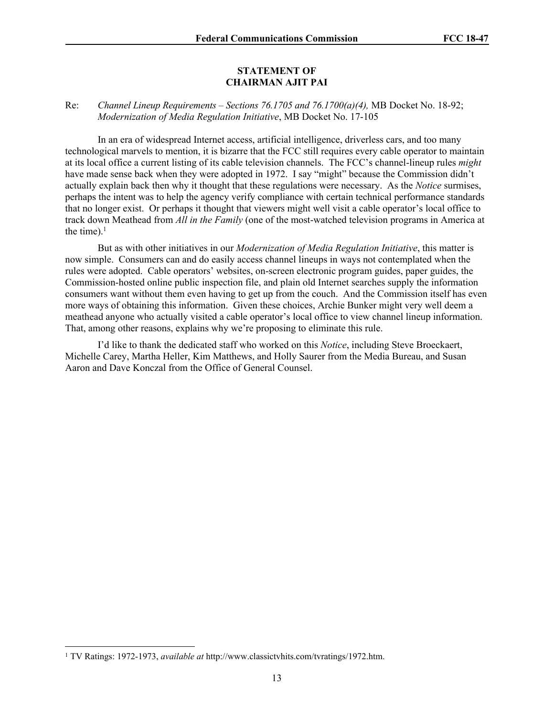#### **STATEMENT OF CHAIRMAN AJIT PAI**

## Re: *Channel Lineup Requirements – Sections 76.1705 and 76.1700(a)(4),* MB Docket No. 18-92; *Modernization of Media Regulation Initiative*, MB Docket No. 17-105

In an era of widespread Internet access, artificial intelligence, driverless cars, and too many technological marvels to mention, it is bizarre that the FCC still requires every cable operator to maintain at its local office a current listing of its cable television channels. The FCC's channel-lineup rules *might* have made sense back when they were adopted in 1972. I say "might" because the Commission didn't actually explain back then why it thought that these regulations were necessary. As the *Notice* surmises, perhaps the intent was to help the agency verify compliance with certain technical performance standards that no longer exist. Or perhaps it thought that viewers might well visit a cable operator's local office to track down Meathead from *All in the Family* (one of the most-watched television programs in America at the time). $<sup>1</sup>$ </sup>

But as with other initiatives in our *Modernization of Media Regulation Initiative*, this matter is now simple. Consumers can and do easily access channel lineups in ways not contemplated when the rules were adopted. Cable operators' websites, on-screen electronic program guides, paper guides, the Commission-hosted online public inspection file, and plain old Internet searches supply the information consumers want without them even having to get up from the couch. And the Commission itself has even more ways of obtaining this information. Given these choices, Archie Bunker might very well deem a meathead anyone who actually visited a cable operator's local office to view channel lineup information. That, among other reasons, explains why we're proposing to eliminate this rule.

I'd like to thank the dedicated staff who worked on this *Notice*, including Steve Broeckaert, Michelle Carey, Martha Heller, Kim Matthews, and Holly Saurer from the Media Bureau, and Susan Aaron and Dave Konczal from the Office of General Counsel.

<sup>&</sup>lt;sup>1</sup> TV Ratings: 1972-1973, *available at http://www.classictvhits.com/tvratings/1972.htm.*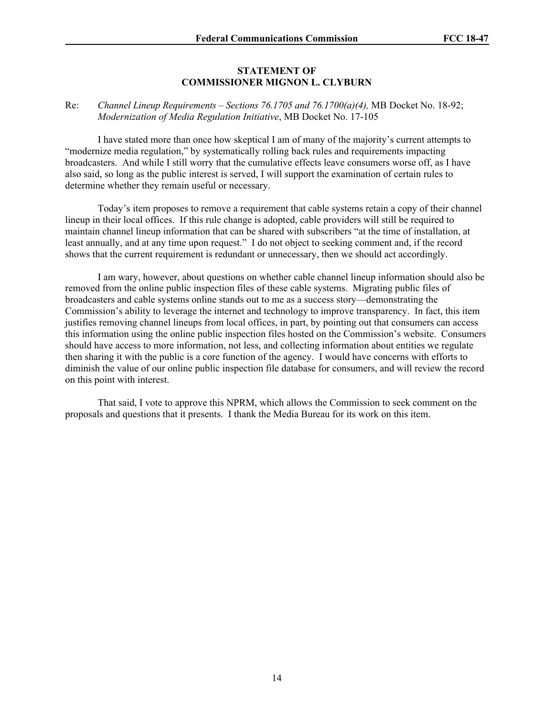#### **STATEMENT OF COMMISSIONER MIGNON L. CLYBURN**

## Re: *Channel Lineup Requirements – Sections 76.1705 and 76.1700(a)(4),* MB Docket No. 18-92; *Modernization of Media Regulation Initiative*, MB Docket No. 17-105

I have stated more than once how skeptical I am of many of the majority's current attempts to "modernize media regulation," by systematically rolling back rules and requirements impacting broadcasters. And while I still worry that the cumulative effects leave consumers worse off, as I have also said, so long as the public interest is served, I will support the examination of certain rules to determine whether they remain useful or necessary.

Today's item proposes to remove a requirement that cable systems retain a copy of their channel lineup in their local offices. If this rule change is adopted, cable providers will still be required to maintain channel lineup information that can be shared with subscribers "at the time of installation, at least annually, and at any time upon request." I do not object to seeking comment and, if the record shows that the current requirement is redundant or unnecessary, then we should act accordingly.

I am wary, however, about questions on whether cable channel lineup information should also be removed from the online public inspection files of these cable systems. Migrating public files of broadcasters and cable systems online stands out to me as a success story—demonstrating the Commission's ability to leverage the internet and technology to improve transparency. In fact, this item justifies removing channel lineups from local offices, in part, by pointing out that consumers can access this information using the online public inspection files hosted on the Commission's website. Consumers should have access to more information, not less, and collecting information about entities we regulate then sharing it with the public is a core function of the agency. I would have concerns with efforts to diminish the value of our online public inspection file database for consumers, and will review the record on this point with interest.

That said, I vote to approve this NPRM, which allows the Commission to seek comment on the proposals and questions that it presents. I thank the Media Bureau for its work on this item.